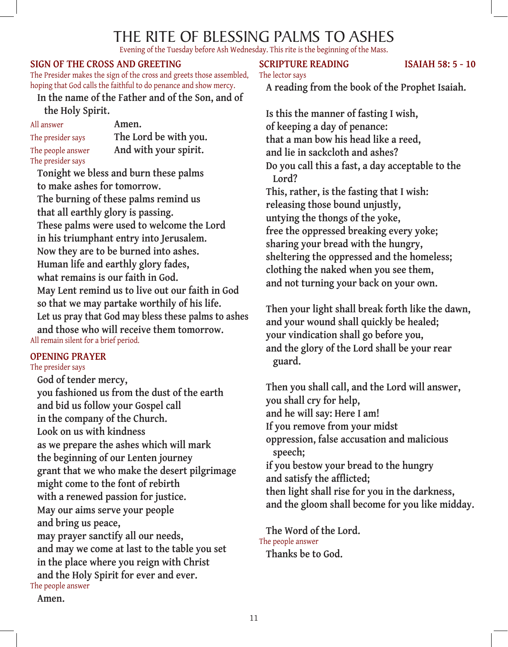# The Rite of Blessing Palms to Ashes

Evening of the Tuesday before Ash Wednesday. This rite is the beginning of the Mass.

### **Sign of the Cross and greeting**

The Presider makes the sign of the cross and greets those assembled, hoping that God calls the faithful to do penance and show mercy.

**In the name of the Father and of the Son, and of the Holy Spirit.**

All answer **Amen.** The presider says **The Lord be with you.** The people answer **And with your spirit.** The presider says

**Tonight we bless and burn these palms to make ashes for tomorrow. The burning of these palms remind us that all earthly glory is passing. These palms were used to welcome the Lord in his triumphant entry into Jerusalem. Now they are to be burned into ashes. Human life and earthly glory fades, what remains is our faith in God. May Lent remind us to live out our faith in God so that we may partake worthily of his life. Let us pray that God may bless these palms to ashes and those who will receive them tomorrow.** All remain silent for a brief period.

#### **Opening Prayer**

The presider says

**God of tender mercy, you fashioned us from the dust of the earth and bid us follow your Gospel call in the company of the Church. Look on us with kindness as we prepare the ashes which will mark the beginning of our Lenten journey grant that we who make the desert pilgrimage might come to the font of rebirth with a renewed passion for justice. May our aims serve your people and bring us peace, may prayer sanctify all our needs, and may we come at last to the table you set in the place where you reign with Christ and the Holy Spirit for ever and ever.** The people answer

**Amen.**

# **SCRIPTURE READING ISAIAH 58: 5 - 10**

The lector says

**A reading from the book of the Prophet Isaiah.**

**Is this the manner of fasting I wish, of keeping a day of penance: that a man bow his head like a reed, and lie in sackcloth and ashes? Do you call this a fast, a day acceptable to the Lord? This, rather, is the fasting that I wish: releasing those bound unjustly, untying the thongs of the yoke, free the oppressed breaking every yoke; sharing your bread with the hungry, sheltering the oppressed and the homeless; clothing the naked when you see them, and not turning your back on your own.**

**Then your light shall break forth like the dawn, and your wound shall quickly be healed; your vindication shall go before you, and the glory of the Lord shall be your rear guard.**

**Then you shall call, and the Lord will answer, you shall cry for help, and he will say: Here I am! If you remove from your midst oppression, false accusation and malicious speech; if you bestow your bread to the hungry and satisfy the afflicted; then light shall rise for you in the darkness, and the gloom shall become for you like midday.**

**The Word of the Lord.** The people answer **Thanks be to God.**